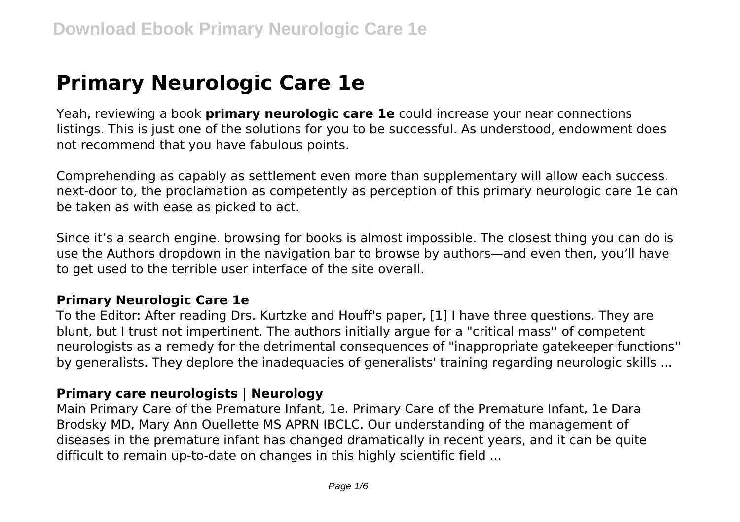# **Primary Neurologic Care 1e**

Yeah, reviewing a book **primary neurologic care 1e** could increase your near connections listings. This is just one of the solutions for you to be successful. As understood, endowment does not recommend that you have fabulous points.

Comprehending as capably as settlement even more than supplementary will allow each success. next-door to, the proclamation as competently as perception of this primary neurologic care 1e can be taken as with ease as picked to act.

Since it's a search engine. browsing for books is almost impossible. The closest thing you can do is use the Authors dropdown in the navigation bar to browse by authors—and even then, you'll have to get used to the terrible user interface of the site overall.

#### **Primary Neurologic Care 1e**

To the Editor: After reading Drs. Kurtzke and Houff's paper, [1] I have three questions. They are blunt, but I trust not impertinent. The authors initially argue for a "critical mass'' of competent neurologists as a remedy for the detrimental consequences of "inappropriate gatekeeper functions'' by generalists. They deplore the inadequacies of generalists' training regarding neurologic skills ...

# **Primary care neurologists | Neurology**

Main Primary Care of the Premature Infant, 1e. Primary Care of the Premature Infant, 1e Dara Brodsky MD, Mary Ann Ouellette MS APRN IBCLC. Our understanding of the management of diseases in the premature infant has changed dramatically in recent years, and it can be quite difficult to remain up-to-date on changes in this highly scientific field ...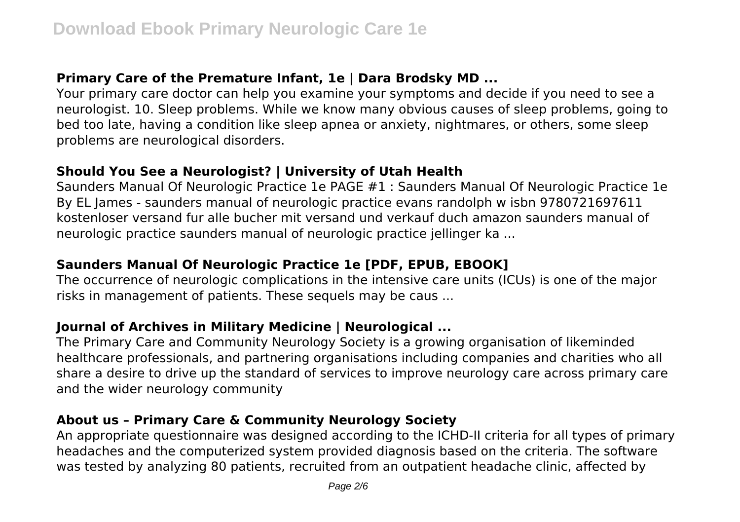# **Primary Care of the Premature Infant, 1e | Dara Brodsky MD ...**

Your primary care doctor can help you examine your symptoms and decide if you need to see a neurologist. 10. Sleep problems. While we know many obvious causes of sleep problems, going to bed too late, having a condition like sleep apnea or anxiety, nightmares, or others, some sleep problems are neurological disorders.

#### **Should You See a Neurologist? | University of Utah Health**

Saunders Manual Of Neurologic Practice 1e PAGE #1 : Saunders Manual Of Neurologic Practice 1e By EL James - saunders manual of neurologic practice evans randolph w isbn 9780721697611 kostenloser versand fur alle bucher mit versand und verkauf duch amazon saunders manual of neurologic practice saunders manual of neurologic practice jellinger ka ...

# **Saunders Manual Of Neurologic Practice 1e [PDF, EPUB, EBOOK]**

The occurrence of neurologic complications in the intensive care units (ICUs) is one of the major risks in management of patients. These sequels may be caus ...

# **Journal of Archives in Military Medicine | Neurological ...**

The Primary Care and Community Neurology Society is a growing organisation of likeminded healthcare professionals, and partnering organisations including companies and charities who all share a desire to drive up the standard of services to improve neurology care across primary care and the wider neurology community

#### **About us – Primary Care & Community Neurology Society**

An appropriate questionnaire was designed according to the ICHD-II criteria for all types of primary headaches and the computerized system provided diagnosis based on the criteria. The software was tested by analyzing 80 patients, recruited from an outpatient headache clinic, affected by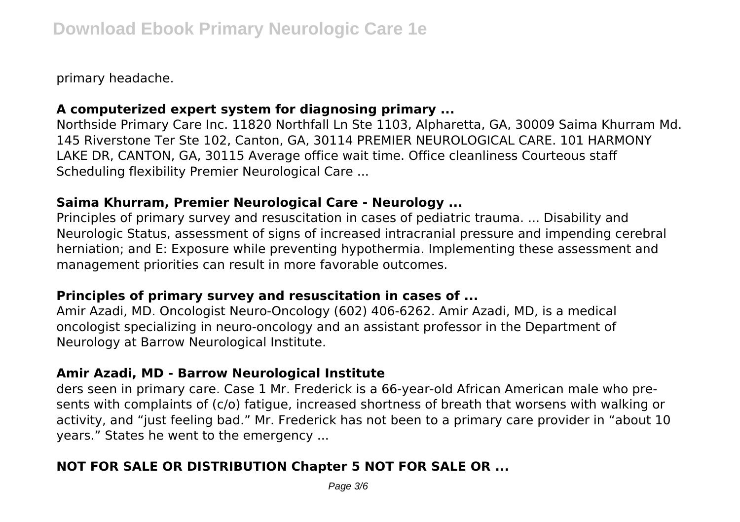primary headache.

# **A computerized expert system for diagnosing primary ...**

Northside Primary Care Inc. 11820 Northfall Ln Ste 1103, Alpharetta, GA, 30009 Saima Khurram Md. 145 Riverstone Ter Ste 102, Canton, GA, 30114 PREMIER NEUROLOGICAL CARE. 101 HARMONY LAKE DR, CANTON, GA, 30115 Average office wait time. Office cleanliness Courteous staff Scheduling flexibility Premier Neurological Care ...

#### **Saima Khurram, Premier Neurological Care - Neurology ...**

Principles of primary survey and resuscitation in cases of pediatric trauma. ... Disability and Neurologic Status, assessment of signs of increased intracranial pressure and impending cerebral herniation; and E: Exposure while preventing hypothermia. Implementing these assessment and management priorities can result in more favorable outcomes.

# **Principles of primary survey and resuscitation in cases of ...**

Amir Azadi, MD. Oncologist Neuro-Oncology (602) 406-6262. Amir Azadi, MD, is a medical oncologist specializing in neuro-oncology and an assistant professor in the Department of Neurology at Barrow Neurological Institute.

#### **Amir Azadi, MD - Barrow Neurological Institute**

ders seen in primary care. Case 1 Mr. Frederick is a 66-year-old African American male who presents with complaints of (c/o) fatigue, increased shortness of breath that worsens with walking or activity, and "just feeling bad." Mr. Frederick has not been to a primary care provider in "about 10 years." States he went to the emergency ...

# **NOT FOR SALE OR DISTRIBUTION Chapter 5 NOT FOR SALE OR ...**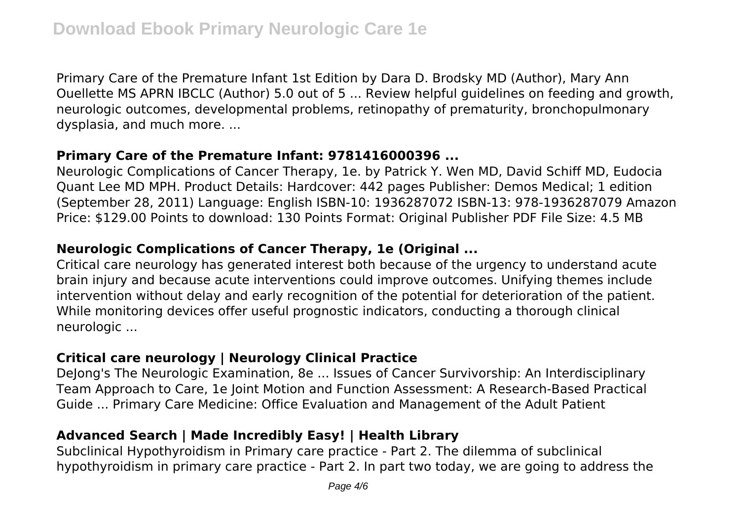Primary Care of the Premature Infant 1st Edition by Dara D. Brodsky MD (Author), Mary Ann Ouellette MS APRN IBCLC (Author) 5.0 out of 5 ... Review helpful guidelines on feeding and growth, neurologic outcomes, developmental problems, retinopathy of prematurity, bronchopulmonary dysplasia, and much more. ...

# **Primary Care of the Premature Infant: 9781416000396 ...**

Neurologic Complications of Cancer Therapy, 1e. by Patrick Y. Wen MD, David Schiff MD, Eudocia Quant Lee MD MPH. Product Details: Hardcover: 442 pages Publisher: Demos Medical; 1 edition (September 28, 2011) Language: English ISBN-10: 1936287072 ISBN-13: 978-1936287079 Amazon Price: \$129.00 Points to download: 130 Points Format: Original Publisher PDF File Size: 4.5 MB

# **Neurologic Complications of Cancer Therapy, 1e (Original ...**

Critical care neurology has generated interest both because of the urgency to understand acute brain injury and because acute interventions could improve outcomes. Unifying themes include intervention without delay and early recognition of the potential for deterioration of the patient. While monitoring devices offer useful prognostic indicators, conducting a thorough clinical neurologic ...

# **Critical care neurology | Neurology Clinical Practice**

Delong's The Neurologic Examination, 8e ... Issues of Cancer Survivorship: An Interdisciplinary Team Approach to Care, 1e Joint Motion and Function Assessment: A Research-Based Practical Guide ... Primary Care Medicine: Office Evaluation and Management of the Adult Patient

# **Advanced Search | Made Incredibly Easy! | Health Library**

Subclinical Hypothyroidism in Primary care practice - Part 2. The dilemma of subclinical hypothyroidism in primary care practice - Part 2. In part two today, we are going to address the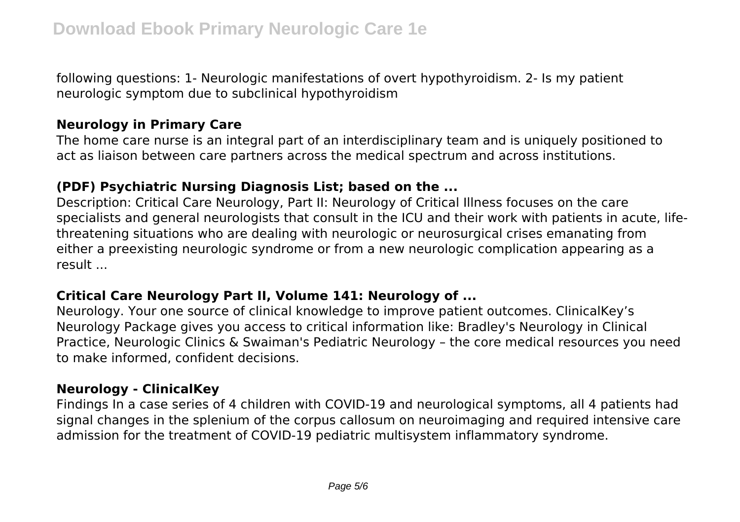following questions: 1- Neurologic manifestations of overt hypothyroidism. 2- Is my patient neurologic symptom due to subclinical hypothyroidism

# **Neurology in Primary Care**

The home care nurse is an integral part of an interdisciplinary team and is uniquely positioned to act as liaison between care partners across the medical spectrum and across institutions.

# **(PDF) Psychiatric Nursing Diagnosis List; based on the ...**

Description: Critical Care Neurology, Part II: Neurology of Critical Illness focuses on the care specialists and general neurologists that consult in the ICU and their work with patients in acute, lifethreatening situations who are dealing with neurologic or neurosurgical crises emanating from either a preexisting neurologic syndrome or from a new neurologic complication appearing as a result ...

# **Critical Care Neurology Part II, Volume 141: Neurology of ...**

Neurology. Your one source of clinical knowledge to improve patient outcomes. ClinicalKey's Neurology Package gives you access to critical information like: Bradley's Neurology in Clinical Practice, Neurologic Clinics & Swaiman's Pediatric Neurology – the core medical resources you need to make informed, confident decisions.

# **Neurology - ClinicalKey**

Findings In a case series of 4 children with COVID-19 and neurological symptoms, all 4 patients had signal changes in the splenium of the corpus callosum on neuroimaging and required intensive care admission for the treatment of COVID-19 pediatric multisystem inflammatory syndrome.